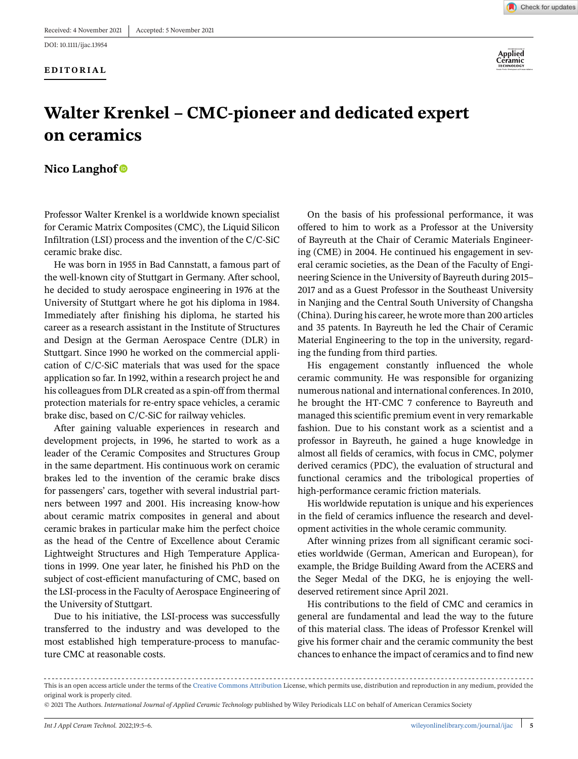## **EDITORIAL**





## **Walter Krenkel – CMC-pioneer and dedicated expert on ceramics**

## **Nico Langhof**

Professor Walter Krenkel is a worldwide known specialist for Ceramic Matrix Composites (CMC), the Liquid Silicon Infiltration (LSI) process and the invention of the C/C-SiC ceramic brake disc.

He was born in 1955 in Bad Cannstatt, a famous part of the well-known city of Stuttgart in Germany. After school, he decided to study aerospace engineering in 1976 at the University of Stuttgart where he got his diploma in 1984. Immediately after finishing his diploma, he started his career as a research assistant in the Institute of Structures and Design at the German Aerospace Centre (DLR) in Stuttgart. Since 1990 he worked on the commercial application of C/C-SiC materials that was used for the space application so far. In 1992, within a research project he and his colleagues from DLR created as a spin-off from thermal protection materials for re-entry space vehicles, a ceramic brake disc, based on C/C-SiC for railway vehicles.

After gaining valuable experiences in research and development projects, in 1996, he started to work as a leader of the Ceramic Composites and Structures Group in the same department. His continuous work on ceramic brakes led to the invention of the ceramic brake discs for passengers' cars, together with several industrial partners between 1997 and 2001. His increasing know-how about ceramic matrix composites in general and about ceramic brakes in particular make him the perfect choice as the head of the Centre of Excellence about Ceramic Lightweight Structures and High Temperature Applications in 1999. One year later, he finished his PhD on the subject of cost-efficient manufacturing of CMC, based on the LSI-process in the Faculty of Aerospace Engineering of the University of Stuttgart.

Due to his initiative, the LSI-process was successfully transferred to the industry and was developed to the most established high temperature-process to manufacture CMC at reasonable costs.

On the basis of his professional performance, it was offered to him to work as a Professor at the University of Bayreuth at the Chair of Ceramic Materials Engineering (CME) in 2004. He continued his engagement in several ceramic societies, as the Dean of the Faculty of Engineering Science in the University of Bayreuth during 2015– 2017 and as a Guest Professor in the Southeast University in Nanjing and the Central South University of Changsha (China). During his career, he wrote more than 200 articles and 35 patents. In Bayreuth he led the Chair of Ceramic Material Engineering to the top in the university, regarding the funding from third parties.

His engagement constantly influenced the whole ceramic community. He was responsible for organizing numerous national and international conferences. In 2010, he brought the HT-CMC 7 conference to Bayreuth and managed this scientific premium event in very remarkable fashion. Due to his constant work as a scientist and a professor in Bayreuth, he gained a huge knowledge in almost all fields of ceramics, with focus in CMC, polymer derived ceramics (PDC), the evaluation of structural and functional ceramics and the tribological properties of high-performance ceramic friction materials.

His worldwide reputation is unique and his experiences in the field of ceramics influence the research and development activities in the whole ceramic community.

After winning prizes from all significant ceramic societies worldwide (German, American and European), for example, the Bridge Building Award from the ACERS and the Seger Medal of the DKG, he is enjoying the welldeserved retirement since April 2021.

His contributions to the field of CMC and ceramics in general are fundamental and lead the way to the future of this material class. The ideas of Professor Krenkel will give his former chair and the ceramic community the best chances to enhance the impact of ceramics and to find new

This is an open access article under the terms of the [Creative Commons Attribution](http://creativecommons.org/licenses/by/4.0/) License, which permits use, distribution and reproduction in any medium, provided the original work is properly cited.

<sup>© 2021</sup> The Authors. *International Journal of Applied Ceramic Technology* published by Wiley Periodicals LLC on behalf of American Ceramics Society